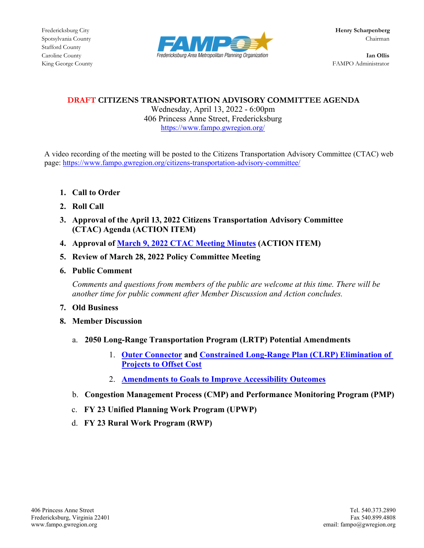Stafford County



King George County FAMPO Administrator

# **DRAFT CITIZENS TRANSPORTATION ADVISORY COMMITTEE AGENDA**

Wednesday, April 13, 2022 - 6:00pm 406 Princess Anne Street, Fredericksburg <https://www.fampo.gwregion.org/>

A video recording of the meeting will be posted to the Citizens Transportation Advisory Committee (CTAC) web page[: https://www.fampo.gwregion.org/citizens-transportation-advisory-committee/](https://www.fampo.gwregion.org/citizens-transportation-advisory-committee/)

- **1. Call to Order**
- **2. Roll Call**
- **3. Approval of the April 13, 2022 Citizens Transportation Advisory Committee (CTAC) Agenda (ACTION ITEM)**
- **4. Approval of March 9, 2022 [CTAC Meeting Minutes](https://www.fampo.gwregion.org/wp-content/uploads/2022/03/03.09.2022_CTACMinutes_Draft.pdf) (ACTION ITEM)**
- **5. Review of March 28, 2022 Policy Committee Meeting**
- **6. Public Comment**

*Comments and questions from members of the public are welcome at this time. There will be another time for public comment after Member Discussion and Action concludes.*

- **7. Old Business**
- **8. Member Discussion**
	- a. **2050 Long-Range Transportation Program (LRTP) Potential Amendments**
		- 1. **[Outer Connector](https://www.fampo.gwregion.org/wp-content/uploads/2022/03/CTAC.OUTER_.CONNECTOR322.pdf) and [Constrained Long-Range Plan \(CLRP\) Elimination of](https://www.fampo.gwregion.org/wp-content/uploads/2022/03/CTAC.CLRP_.Map_.MajorProjects322.pdf)  [Projects to Offset Cost](https://www.fampo.gwregion.org/wp-content/uploads/2022/03/CTAC.CLRP_.Map_.MajorProjects322.pdf)**
		- 2. **[Amendments to Goals to Improve Accessibility Outcomes](https://www.fampo.gwregion.org/wp-content/uploads/2022/03/CTAC.LRTP_.Accessibility322.pdf)**
	- b. **Congestion Management Process (CMP) and Performance Monitoring Program (PMP)**
	- c. **FY 23 Unified Planning Work Program (UPWP)**
	- d. **FY 23 Rural Work Program (RWP)**